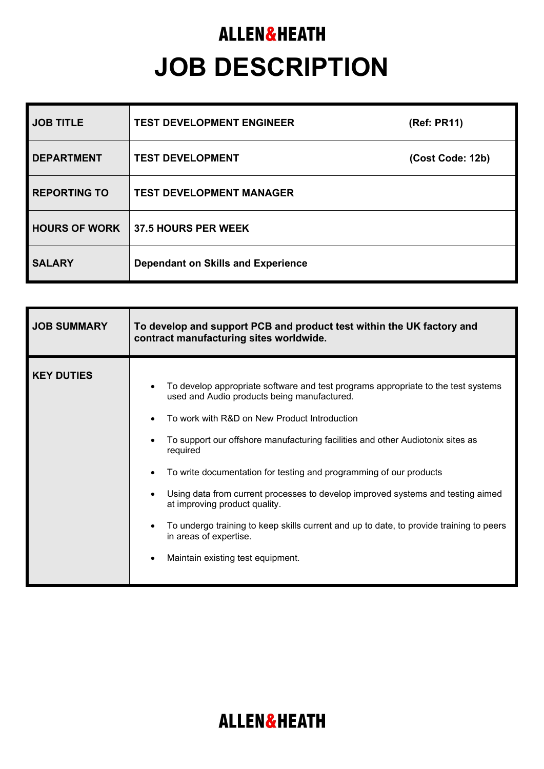## **ALLEN&HEATH JOB DESCRIPTION**

| <b>JOB TITLE</b>     | <b>TEST DEVELOPMENT ENGINEER</b>          | (Ref: PR11)      |
|----------------------|-------------------------------------------|------------------|
| <b>DEPARTMENT</b>    | <b>TEST DEVELOPMENT</b>                   | (Cost Code: 12b) |
| <b>REPORTING TO</b>  | <b>TEST DEVELOPMENT MANAGER</b>           |                  |
| <b>HOURS OF WORK</b> | <b>37.5 HOURS PER WEEK</b>                |                  |
| <b>SALARY</b>        | <b>Dependant on Skills and Experience</b> |                  |

| <b>JOB SUMMARY</b> | To develop and support PCB and product test within the UK factory and<br>contract manufacturing sites worldwide.                                                                                                                                                                                                                                                                                                                                                                                                                                                                                                                                |  |
|--------------------|-------------------------------------------------------------------------------------------------------------------------------------------------------------------------------------------------------------------------------------------------------------------------------------------------------------------------------------------------------------------------------------------------------------------------------------------------------------------------------------------------------------------------------------------------------------------------------------------------------------------------------------------------|--|
| <b>KEY DUTIES</b>  | To develop appropriate software and test programs appropriate to the test systems<br>used and Audio products being manufactured.<br>To work with R&D on New Product Introduction<br>To support our offshore manufacturing facilities and other Audiotonix sites as<br>required<br>To write documentation for testing and programming of our products<br>$\bullet$<br>Using data from current processes to develop improved systems and testing aimed<br>at improving product quality.<br>To undergo training to keep skills current and up to date, to provide training to peers<br>in areas of expertise.<br>Maintain existing test equipment. |  |

## **ALLEN&HEATH**